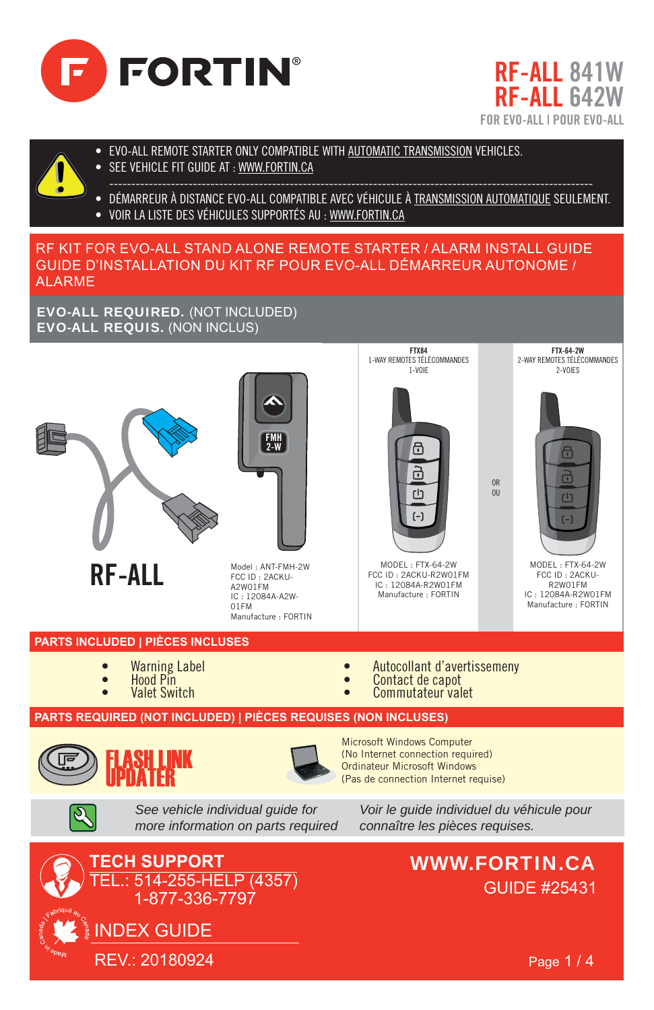





- EVO-ALL REMOTE STARTER ONLY COMPATIBLE WITH AUTOMATIC TRANSMISSION VEHICLES.
- SEE VEHICLE FIT GUIDE AT : WWW.FORTIN.CA

• DÉMARREUR À DISTANCE EVO-ALL COMPATIBLE AVEC VÉHICULE À TRANSMISSION AUTOMATIQUE SEULEMENT. • VOIR LA LISTE DES VÉHICULES SUPPORTÉS AU : WWW.FORTIN.CA

# RF KIT FOR EVO-ALL STAND ALONE REMOTE STARTER / ALARM INSTALL GUIDE GUIDE D'INSTALLATION DU KIT RF POUR EVO-ALL DÉMARREUR AUTONOME / ALARME

EVO-ALL REQUIRED. (NOT INCLUDED) EVO-ALL REQUIS. (NON INCLUS)





RF-ALL Model: ANT-FMH-2W FCC ID : 2ACKU-A2W01FM IC : 12084A-A2W-01FM Manufacture : FORTIN



FTX84 1-WAY REMOTES TÉLÉCOMMANDES

FCC ID : 2ACKU-R2W01FM IC : 12084A-R2W01FM Manufacture : FORTIN



FTX-64-2W 2-WAY REMOTES TÉLÉCOMMANDES 2-VOIES

OR  $\overline{0}$ 

> MODEL : FTX-64-2W FCC ID : 2ACKU-R2W01FM IC : 12084A-R2W01FM Manufacture : FORTIN

- **PARTS INCLUDED | PIÈCES INCLUSES**
	- Warning Label
	- Hood Pin
	- **Valet Switch**
- Autocollant d'avertissemeny
- Contact de capot

Microsoft Windows Computer

Commutateur valet

# **PARTS REQUIRED (NOT INCLUDED) | PIÈCES REQUISES (NON INCLUSES)**



*See vehicle individual guide for more information on parts required*

(No Internet connection required) Ordinateur Microsoft Windows (Pas de connection Internet requise)

WWW.FORTIN.CA *connaître les pièces requises.*

*Voir le guide individuel du véhicule pour* 



GUIDE #25431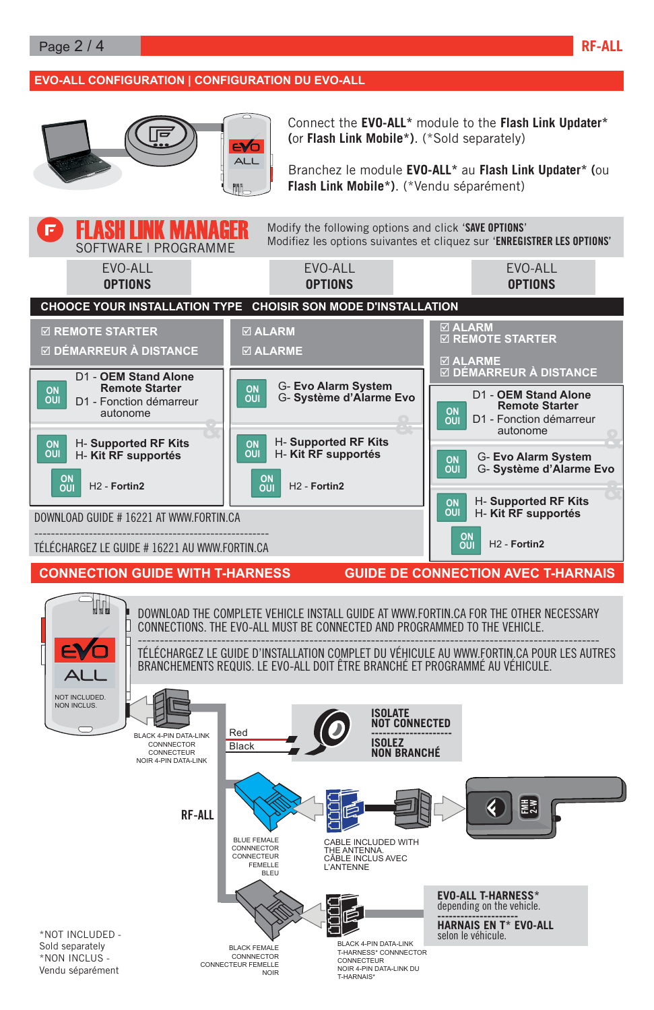## **EVO-ALL CONFIGURATION | CONFIGURATION DU EVO-ALL**



Connect the **EVO-ALL\*** module to the **Flash Link Updater\* (**or **Flash Link Mobile\*)**. (\*Sold separately)

Branchez le module **EVO-ALL\*** au **Flash Link Updater\* (**ou **Flash Link Mobile\*)**. (\*Vendu séparément)

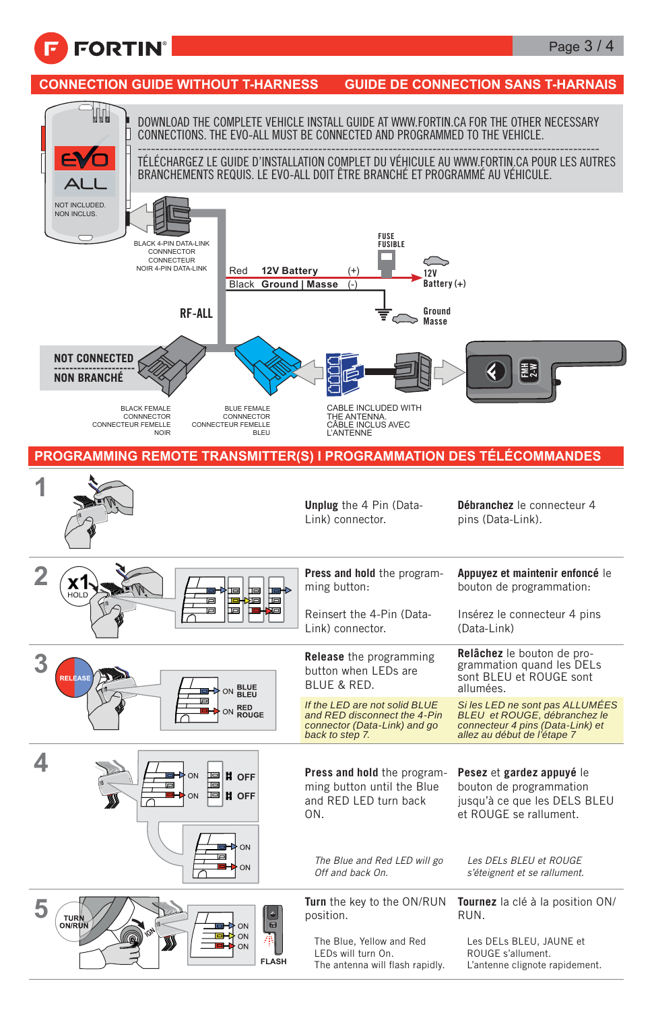